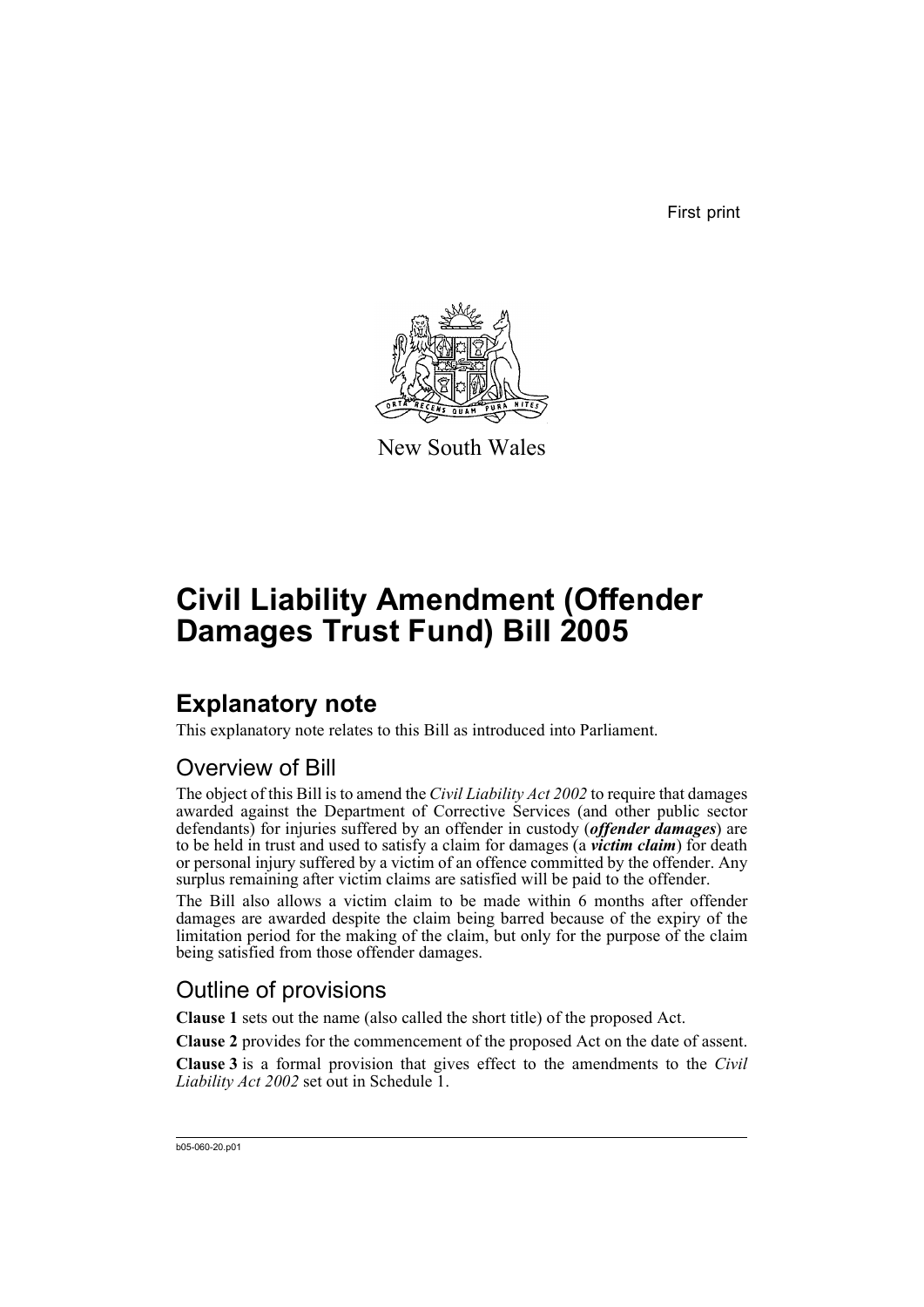First print



New South Wales

# **Civil Liability Amendment (Offender Damages Trust Fund) Bill 2005**

# **Explanatory note**

This explanatory note relates to this Bill as introduced into Parliament.

## Overview of Bill

The object of this Bill is to amend the *Civil Liability Act 2002* to require that damages awarded against the Department of Corrective Services (and other public sector defendants) for injuries suffered by an offender in custody (*offender damages*) are to be held in trust and used to satisfy a claim for damages (a *victim claim*) for death or personal injury suffered by a victim of an offence committed by the offender. Any surplus remaining after victim claims are satisfied will be paid to the offender.

The Bill also allows a victim claim to be made within 6 months after offender damages are awarded despite the claim being barred because of the expiry of the limitation period for the making of the claim, but only for the purpose of the claim being satisfied from those offender damages.

## Outline of provisions

**Clause 1** sets out the name (also called the short title) of the proposed Act.

**Clause 2** provides for the commencement of the proposed Act on the date of assent.

**Clause 3** is a formal provision that gives effect to the amendments to the *Civil Liability Act 2002* set out in Schedule 1.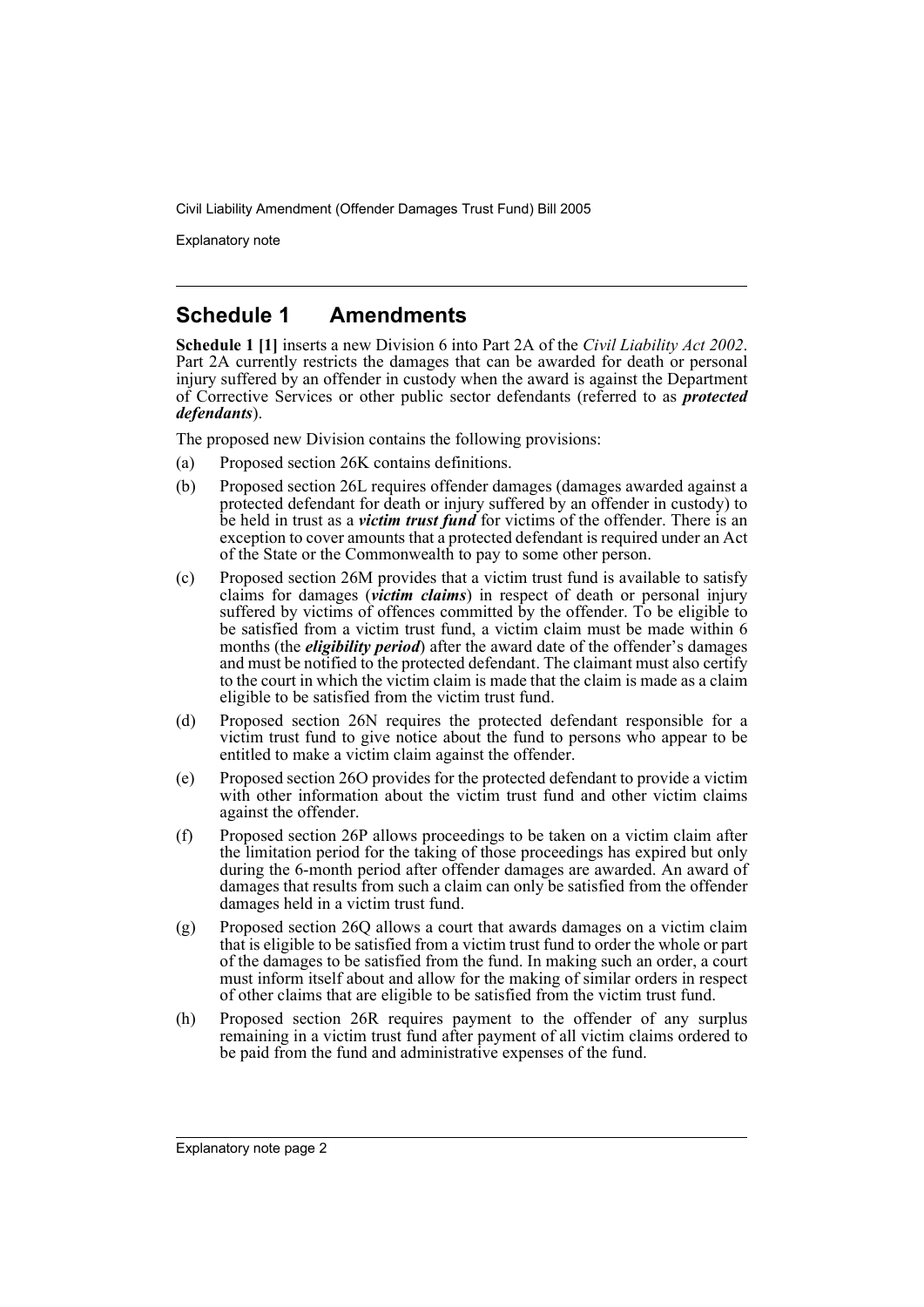Explanatory note

## **Schedule 1 Amendments**

**Schedule 1 [1]** inserts a new Division 6 into Part 2A of the *Civil Liability Act 2002*. Part 2A currently restricts the damages that can be awarded for death or personal injury suffered by an offender in custody when the award is against the Department of Corrective Services or other public sector defendants (referred to as *protected defendants*).

The proposed new Division contains the following provisions:

- (a) Proposed section 26K contains definitions.
- (b) Proposed section 26L requires offender damages (damages awarded against a protected defendant for death or injury suffered by an offender in custody) to be held in trust as a *victim trust fund* for victims of the offender. There is an exception to cover amounts that a protected defendant is required under an Act of the State or the Commonwealth to pay to some other person.
- (c) Proposed section 26M provides that a victim trust fund is available to satisfy claims for damages (*victim claims*) in respect of death or personal injury suffered by victims of offences committed by the offender. To be eligible to be satisfied from a victim trust fund, a victim claim must be made within 6 months (the *eligibility period*) after the award date of the offender's damages and must be notified to the protected defendant. The claimant must also certify to the court in which the victim claim is made that the claim is made as a claim eligible to be satisfied from the victim trust fund.
- (d) Proposed section 26N requires the protected defendant responsible for a victim trust fund to give notice about the fund to persons who appear to be entitled to make a victim claim against the offender.
- (e) Proposed section 26O provides for the protected defendant to provide a victim with other information about the victim trust fund and other victim claims against the offender.
- (f) Proposed section 26P allows proceedings to be taken on a victim claim after the limitation period for the taking of those proceedings has expired but only during the 6-month period after offender damages are awarded. An award of damages that results from such a claim can only be satisfied from the offender damages held in a victim trust fund.
- (g) Proposed section 26Q allows a court that awards damages on a victim claim that is eligible to be satisfied from a victim trust fund to order the whole or part of the damages to be satisfied from the fund. In making such an order, a court must inform itself about and allow for the making of similar orders in respect of other claims that are eligible to be satisfied from the victim trust fund.
- (h) Proposed section 26R requires payment to the offender of any surplus remaining in a victim trust fund after payment of all victim claims ordered to be paid from the fund and administrative expenses of the fund.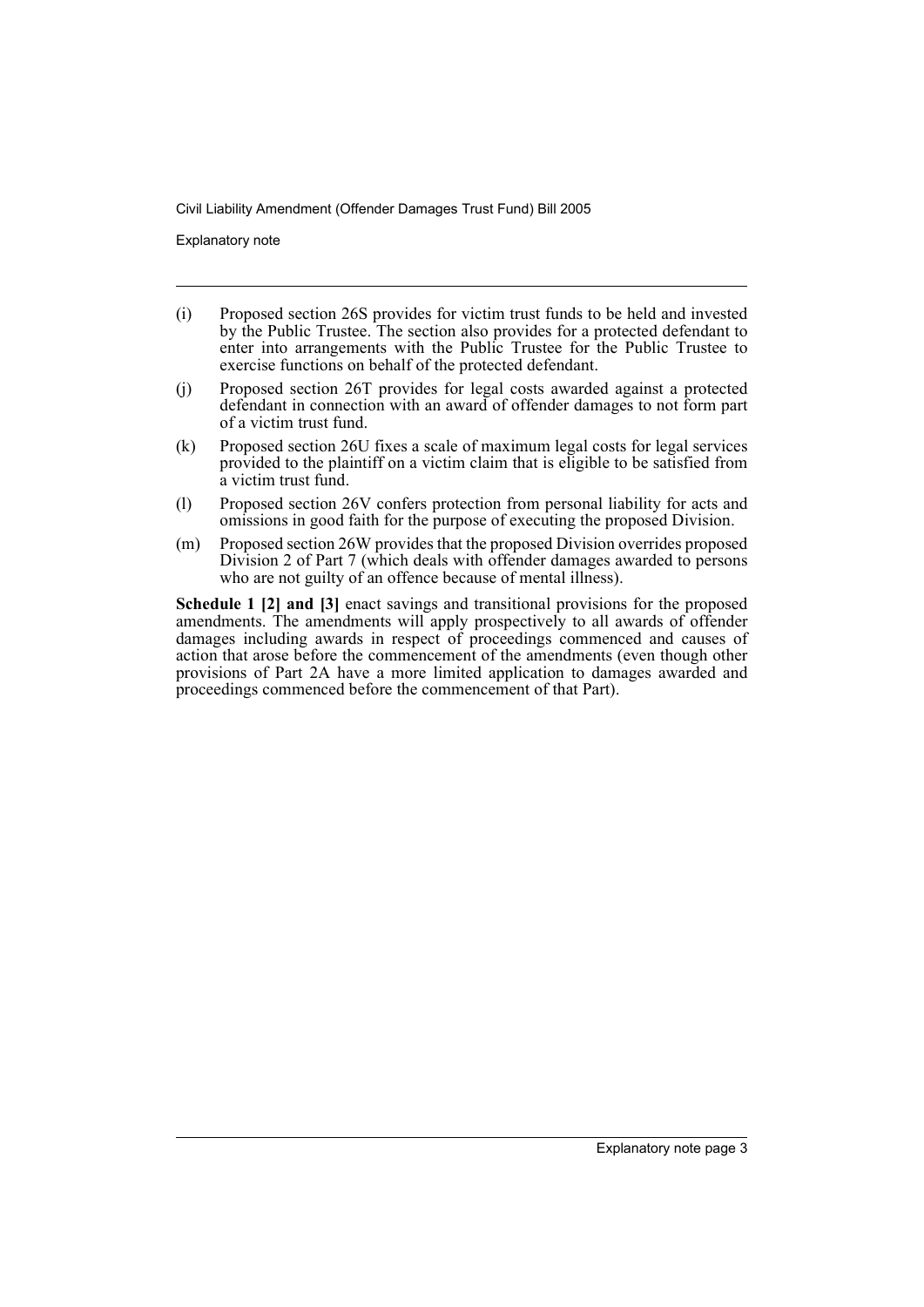Explanatory note

- (i) Proposed section 26S provides for victim trust funds to be held and invested by the Public Trustee. The section also provides for a protected defendant to enter into arrangements with the Public Trustee for the Public Trustee to exercise functions on behalf of the protected defendant.
- (j) Proposed section 26T provides for legal costs awarded against a protected defendant in connection with an award of offender damages to not form part of a victim trust fund.
- (k) Proposed section 26U fixes a scale of maximum legal costs for legal services provided to the plaintiff on a victim claim that is eligible to be satisfied from a victim trust fund.
- (l) Proposed section 26V confers protection from personal liability for acts and omissions in good faith for the purpose of executing the proposed Division.
- (m) Proposed section 26W provides that the proposed Division overrides proposed Division 2 of Part 7 (which deals with offender damages awarded to persons who are not guilty of an offence because of mental illness).

**Schedule 1 [2] and [3]** enact savings and transitional provisions for the proposed amendments. The amendments will apply prospectively to all awards of offender damages including awards in respect of proceedings commenced and causes of action that arose before the commencement of the amendments (even though other provisions of Part 2A have a more limited application to damages awarded and proceedings commenced before the commencement of that Part).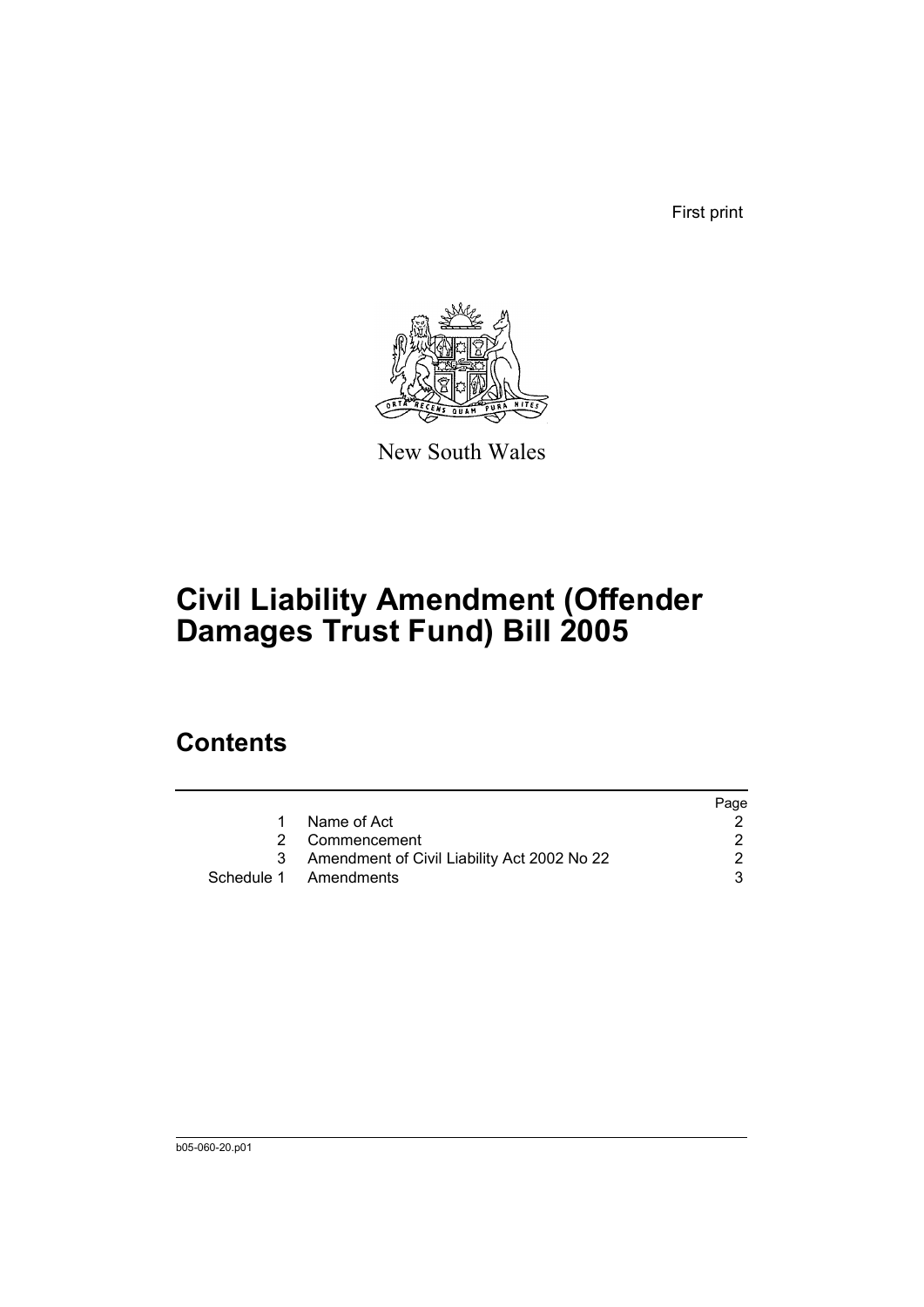First print



New South Wales

# **Civil Liability Amendment (Offender Damages Trust Fund) Bill 2005**

# **Contents**

|    |                                               | Page |
|----|-----------------------------------------------|------|
| 1. | Name of Act                                   |      |
|    | 2 Commencement                                |      |
|    | 3 Amendment of Civil Liability Act 2002 No 22 |      |
|    | Schedule 1 Amendments                         | 3.   |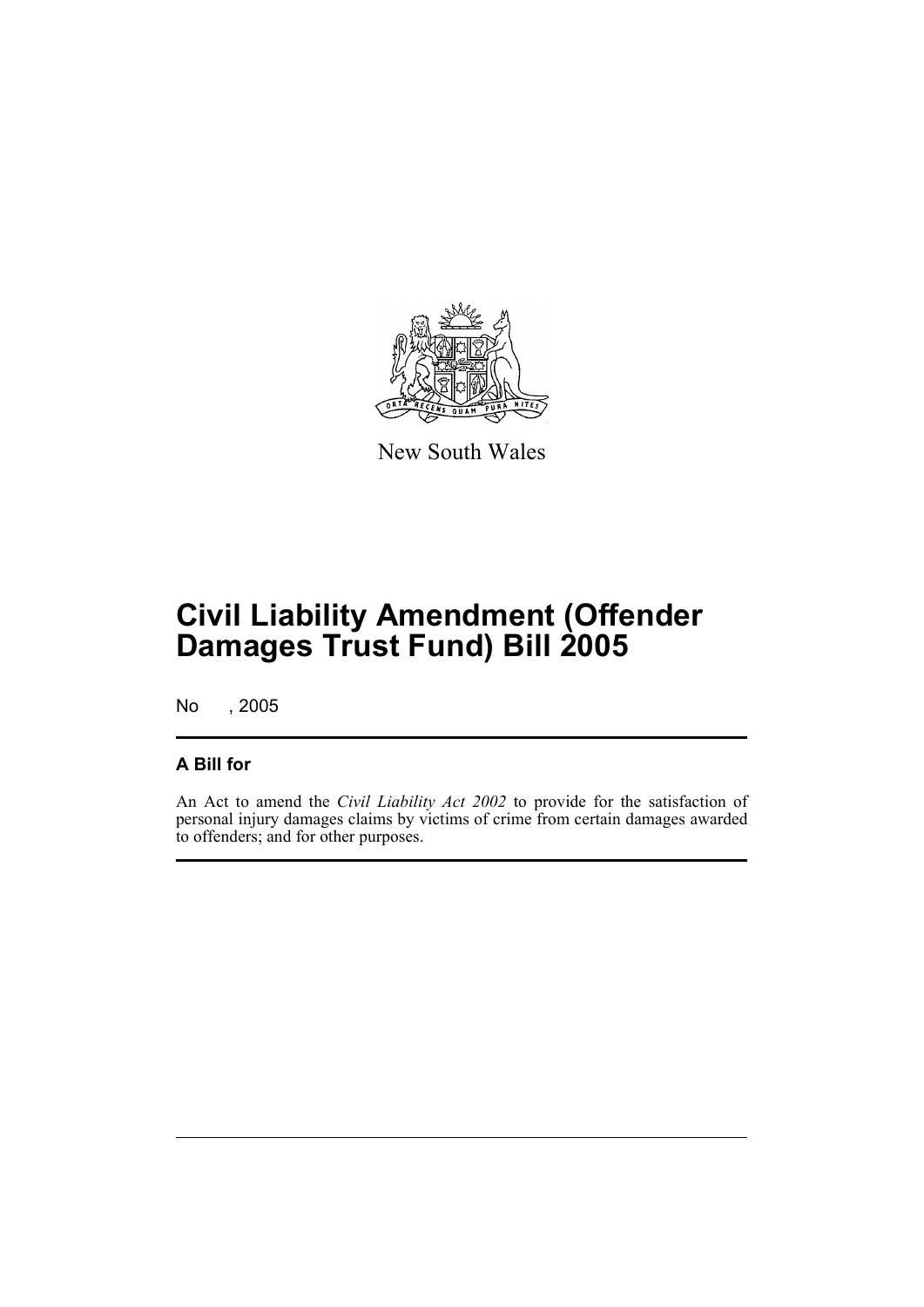

New South Wales

# **Civil Liability Amendment (Offender Damages Trust Fund) Bill 2005**

No , 2005

## **A Bill for**

An Act to amend the *Civil Liability Act 2002* to provide for the satisfaction of personal injury damages claims by victims of crime from certain damages awarded to offenders; and for other purposes.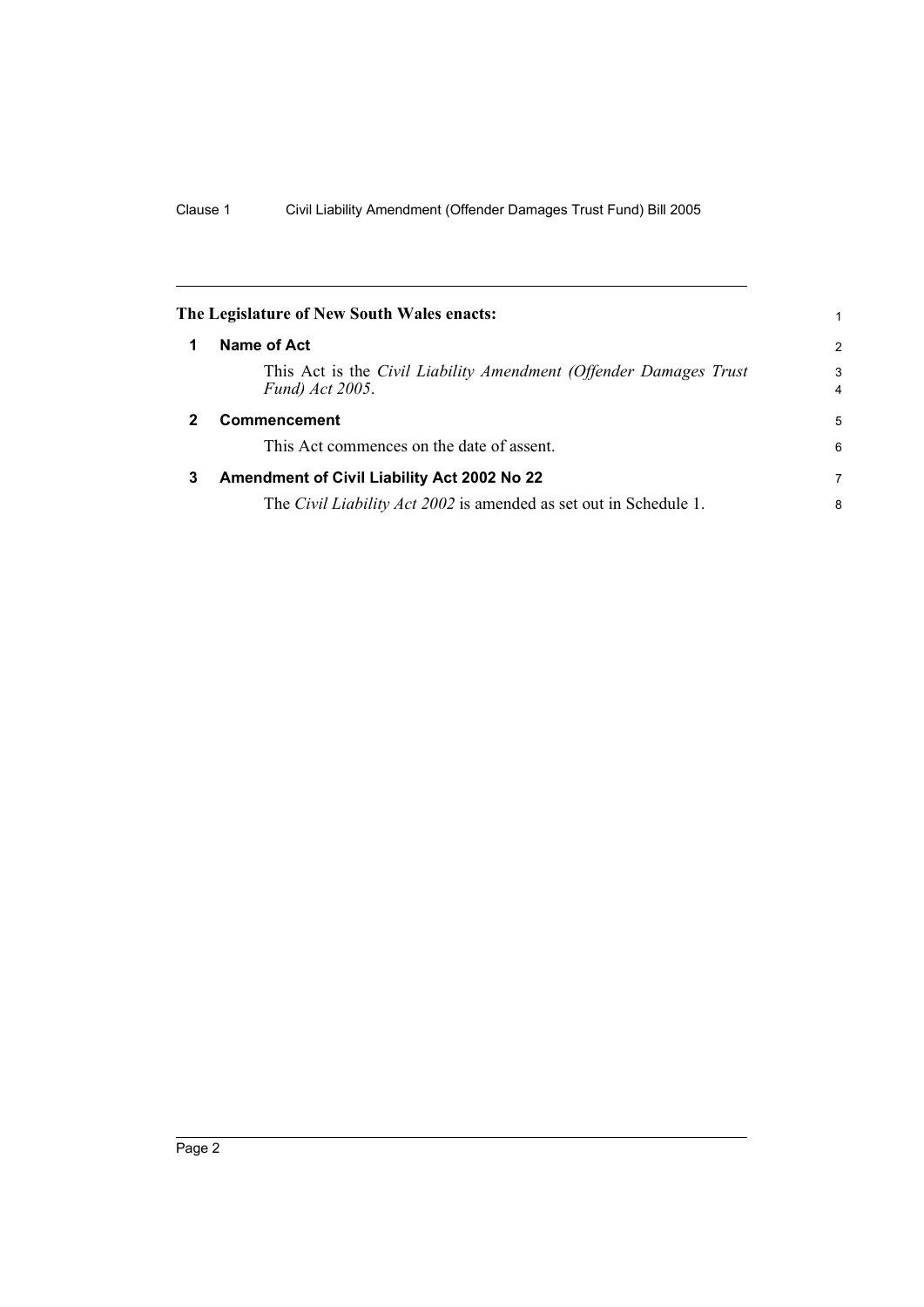<span id="page-7-2"></span><span id="page-7-1"></span><span id="page-7-0"></span>

|              | The Legislature of New South Wales enacts:                                           | 1      |
|--------------|--------------------------------------------------------------------------------------|--------|
| 1            | Name of Act                                                                          | 2      |
|              | This Act is the Civil Liability Amendment (Offender Damages Trust<br>Fund) Act 2005. | 3<br>4 |
| $\mathbf{2}$ | <b>Commencement</b>                                                                  | 5      |
|              | This Act commences on the date of assent.                                            | 6      |
| 3            | Amendment of Civil Liability Act 2002 No 22                                          | 7      |
|              | The <i>Civil Liability Act 2002</i> is amended as set out in Schedule 1.             | 8      |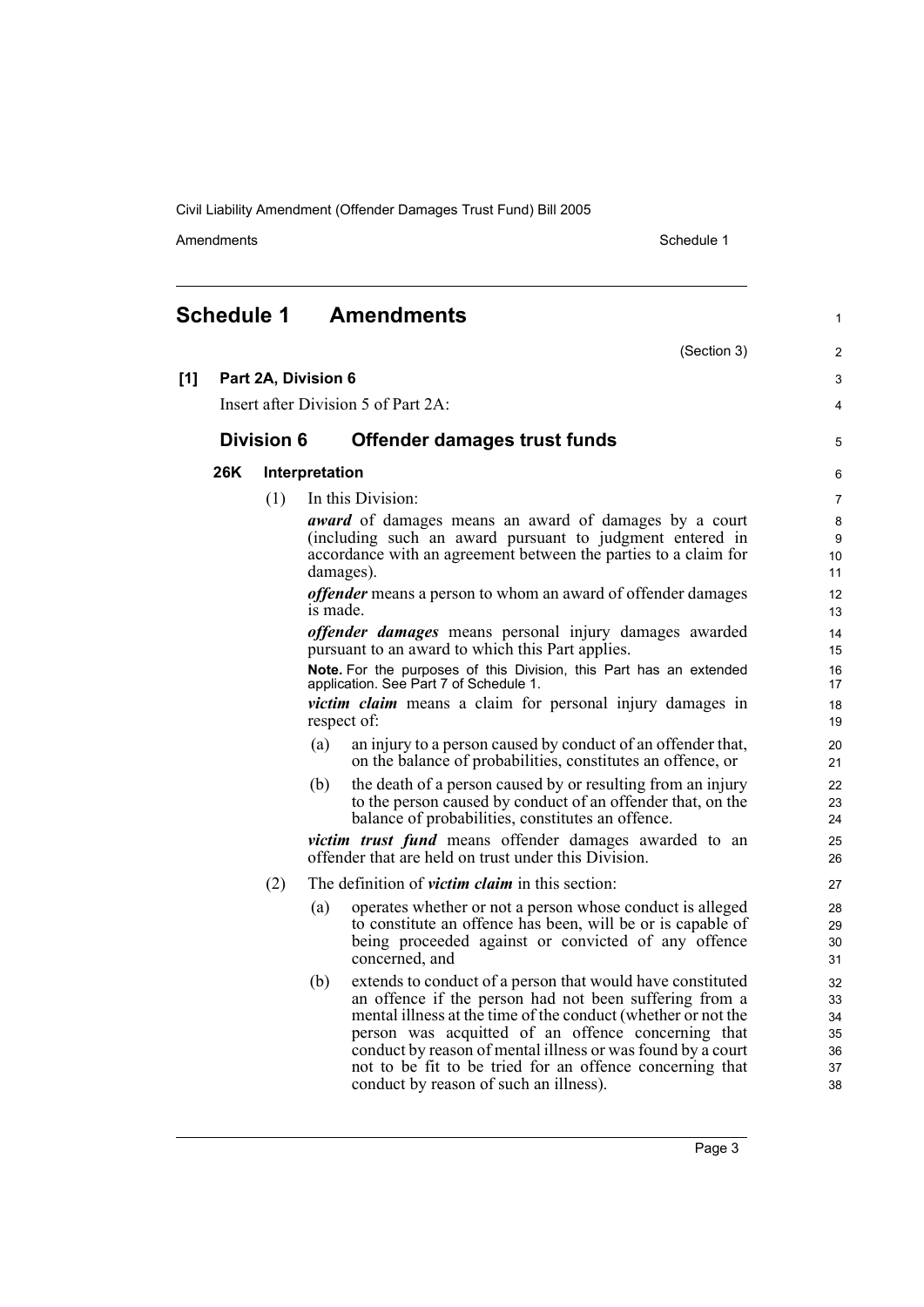<span id="page-8-0"></span>**Schedule 1 Amendments**

Amendments **Amendments** Schedule 1

1

 $\overline{2}$ 3 4

5

|       |                                        |                   | (Section 3)                                                                                                                                                                                              |  |  |
|-------|----------------------------------------|-------------------|----------------------------------------------------------------------------------------------------------------------------------------------------------------------------------------------------------|--|--|
| $[1]$ | Part 2A, Division 6                    |                   |                                                                                                                                                                                                          |  |  |
|       | Insert after Division 5 of Part $2A$ : |                   |                                                                                                                                                                                                          |  |  |
|       |                                        | <b>Division 6</b> | Offender damages trust funds                                                                                                                                                                             |  |  |
|       | 26K                                    |                   | Interpretation                                                                                                                                                                                           |  |  |
|       |                                        | (1)               | In this Division:                                                                                                                                                                                        |  |  |
|       |                                        |                   | <i>award</i> of damages means an award of damages by a court<br>(including such an award pursuant to judgment entered in<br>accordance with an agreement between the parties to a claim for<br>damages). |  |  |

*offender* means a person to whom an award of offender damages is made.

*offender damages* means personal injury damages awarded pursuant to an award to which this Part applies.

**Note.** For the purposes of this Division, this Part has an extended application. See Part 7 of Schedule 1.

*victim claim* means a claim for personal injury damages in respect of:

- (a) an injury to a person caused by conduct of an offender that, on the balance of probabilities, constitutes an offence, or
- (b) the death of a person caused by or resulting from an injury to the person caused by conduct of an offender that, on the balance of probabilities, constitutes an offence.

*victim trust fund* means offender damages awarded to an offender that are held on trust under this Division.

- (2) The definition of *victim claim* in this section:
	- (a) operates whether or not a person whose conduct is alleged to constitute an offence has been, will be or is capable of being proceeded against or convicted of any offence concerned, and
	- (b) extends to conduct of a person that would have constituted an offence if the person had not been suffering from a mental illness at the time of the conduct (whether or not the person was acquitted of an offence concerning that conduct by reason of mental illness or was found by a court not to be fit to be tried for an offence concerning that conduct by reason of such an illness).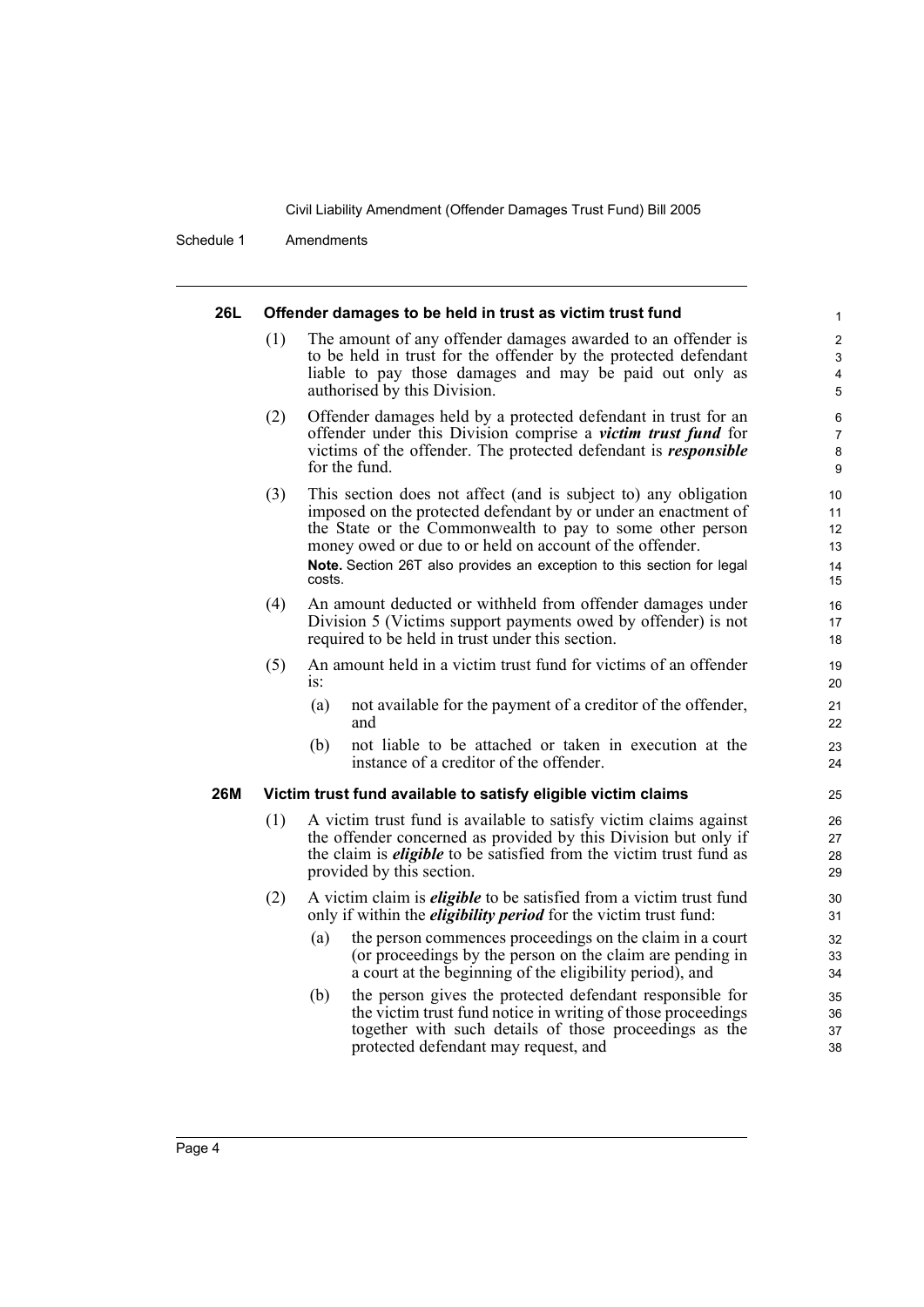Schedule 1 Amendments

#### **26L Offender damages to be held in trust as victim trust fund** (1) The amount of any offender damages awarded to an offender is to be held in trust for the offender by the protected defendant liable to pay those damages and may be paid out only as authorised by this Division. (2) Offender damages held by a protected defendant in trust for an offender under this Division comprise a *victim trust fund* for victims of the offender. The protected defendant is *responsible* for the fund. (3) This section does not affect (and is subject to) any obligation imposed on the protected defendant by or under an enactment of the State or the Commonwealth to pay to some other person money owed or due to or held on account of the offender. **Note.** Section 26T also provides an exception to this section for legal costs. (4) An amount deducted or withheld from offender damages under Division 5 (Victims support payments owed by offender) is not required to be held in trust under this section. (5) An amount held in a victim trust fund for victims of an offender is: (a) not available for the payment of a creditor of the offender, and (b) not liable to be attached or taken in execution at the instance of a creditor of the offender. **26M Victim trust fund available to satisfy eligible victim claims** (1) A victim trust fund is available to satisfy victim claims against the offender concerned as provided by this Division but only if the claim is *eligible* to be satisfied from the victim trust fund as provided by this section. (2) A victim claim is *eligible* to be satisfied from a victim trust fund only if within the *eligibility period* for the victim trust fund: (a) the person commences proceedings on the claim in a court (or proceedings by the person on the claim are pending in a court at the beginning of the eligibility period), and (b) the person gives the protected defendant responsible for the victim trust fund notice in writing of those proceedings together with such details of those proceedings as the protected defendant may request, and 1 2 3 4 5 6 7 8 9 10 11 12 13 14 15 16 17 18 19 20 21 22 23 24  $25$ 26 27 28 29 30 31 32 33 34 35 36 37 38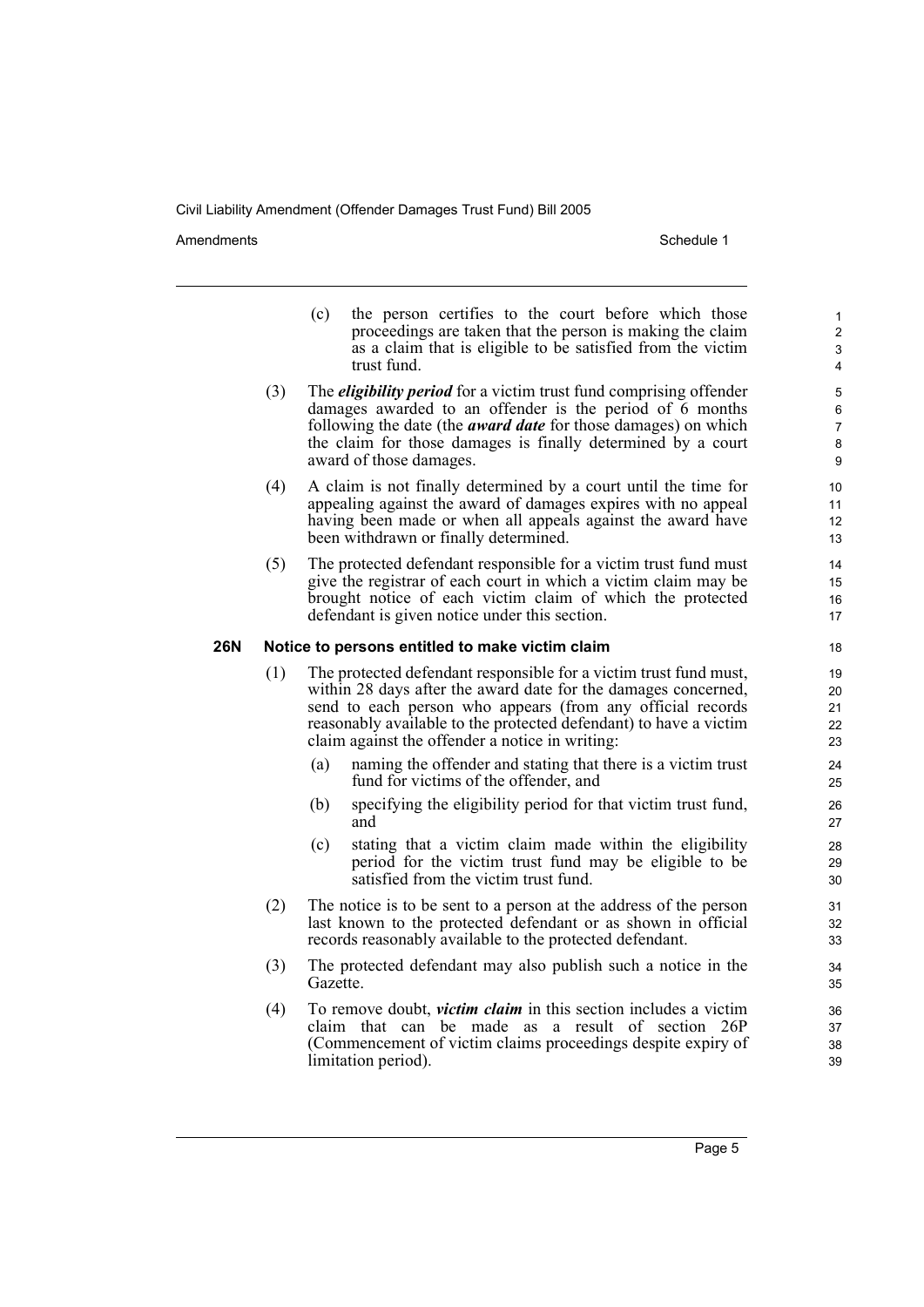Amendments **Amendments** Schedule 1

- (c) the person certifies to the court before which those proceedings are taken that the person is making the claim as a claim that is eligible to be satisfied from the victim trust fund.
- (3) The *eligibility period* for a victim trust fund comprising offender damages awarded to an offender is the period of 6 months following the date (the *award date* for those damages) on which the claim for those damages is finally determined by a court award of those damages.
- (4) A claim is not finally determined by a court until the time for appealing against the award of damages expires with no appeal having been made or when all appeals against the award have been withdrawn or finally determined.
- (5) The protected defendant responsible for a victim trust fund must give the registrar of each court in which a victim claim may be brought notice of each victim claim of which the protected defendant is given notice under this section.

## **26N Notice to persons entitled to make victim claim**

- (1) The protected defendant responsible for a victim trust fund must, within 28 days after the award date for the damages concerned, send to each person who appears (from any official records reasonably available to the protected defendant) to have a victim claim against the offender a notice in writing:
	- (a) naming the offender and stating that there is a victim trust fund for victims of the offender, and
	- (b) specifying the eligibility period for that victim trust fund, and
	- (c) stating that a victim claim made within the eligibility period for the victim trust fund may be eligible to be satisfied from the victim trust fund.
- (2) The notice is to be sent to a person at the address of the person last known to the protected defendant or as shown in official records reasonably available to the protected defendant.
- (3) The protected defendant may also publish such a notice in the Gazette.
- (4) To remove doubt, *victim claim* in this section includes a victim claim that can be made as a result of section 26P (Commencement of victim claims proceedings despite expiry of limitation period).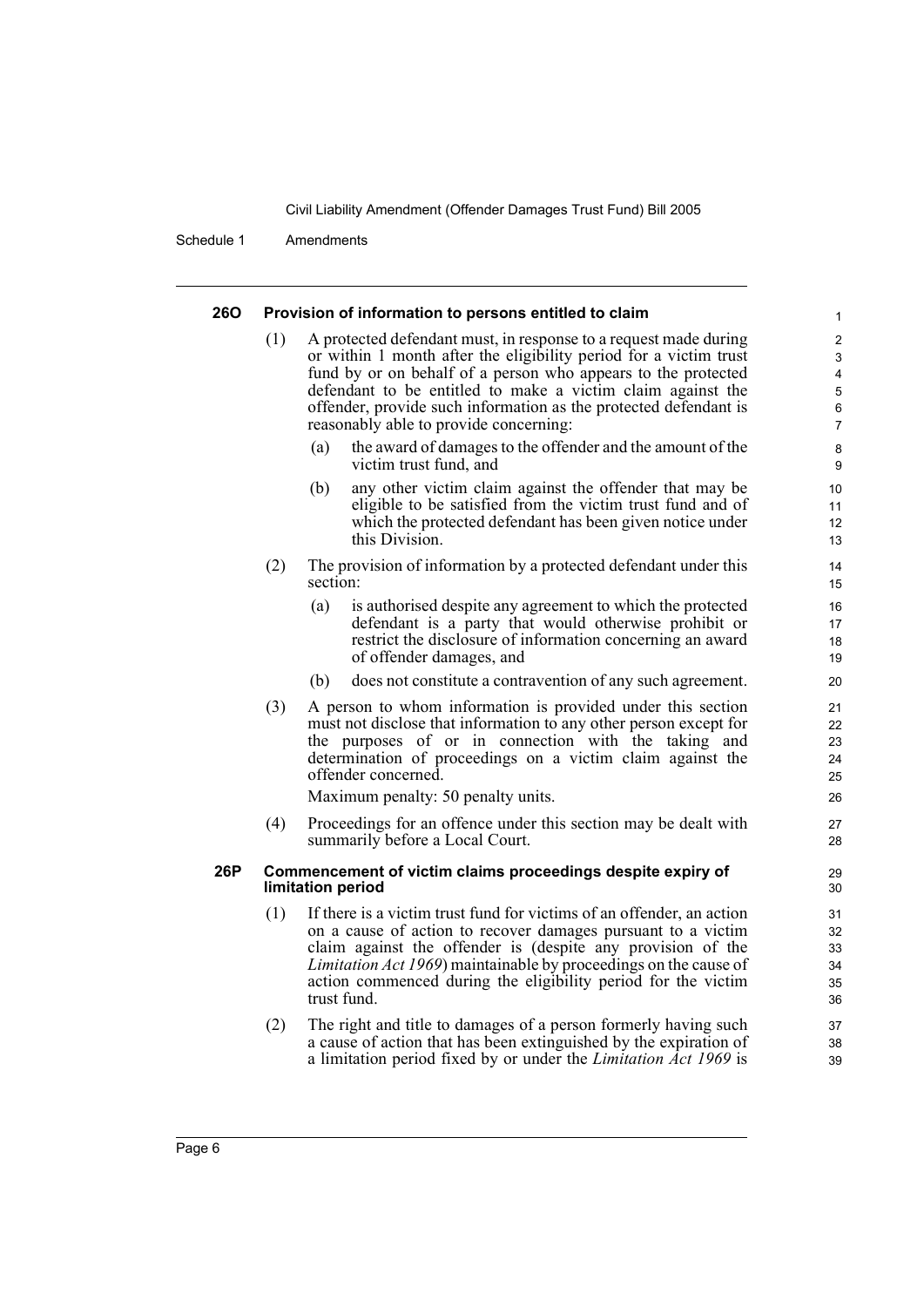Schedule 1 Amendments

| <b>260</b> |     | Provision of information to persons entitled to claim                                                                                                                                                                                                                                                                                                                               |  |
|------------|-----|-------------------------------------------------------------------------------------------------------------------------------------------------------------------------------------------------------------------------------------------------------------------------------------------------------------------------------------------------------------------------------------|--|
|            | (1) | A protected defendant must, in response to a request made during<br>or within 1 month after the eligibility period for a victim trust<br>fund by or on behalf of a person who appears to the protected<br>defendant to be entitled to make a victim claim against the<br>offender, provide such information as the protected defendant is<br>reasonably able to provide concerning: |  |
|            |     | the award of damages to the offender and the amount of the<br>(a)<br>victim trust fund, and                                                                                                                                                                                                                                                                                         |  |
|            |     | any other victim claim against the offender that may be<br>(b)<br>eligible to be satisfied from the victim trust fund and of<br>which the protected defendant has been given notice under<br>this Division.                                                                                                                                                                         |  |
|            | (2) | The provision of information by a protected defendant under this<br>section:                                                                                                                                                                                                                                                                                                        |  |
|            |     | (a)<br>is authorised despite any agreement to which the protected<br>defendant is a party that would otherwise prohibit or<br>restrict the disclosure of information concerning an award<br>of offender damages, and                                                                                                                                                                |  |
|            |     | (b)<br>does not constitute a contravention of any such agreement.                                                                                                                                                                                                                                                                                                                   |  |
|            | (3) | A person to whom information is provided under this section<br>must not disclose that information to any other person except for<br>the purposes of or in connection with the taking and<br>determination of proceedings on a victim claim against the<br>offender concerned.                                                                                                       |  |
|            |     | Maximum penalty: 50 penalty units.                                                                                                                                                                                                                                                                                                                                                  |  |
|            | (4) | Proceedings for an offence under this section may be dealt with<br>summarily before a Local Court.                                                                                                                                                                                                                                                                                  |  |
| 26P        |     | Commencement of victim claims proceedings despite expiry of<br>limitation period                                                                                                                                                                                                                                                                                                    |  |
|            | (1) | If there is a victim trust fund for victims of an offender, an action<br>on a cause of action to recover damages pursuant to a victim<br>claim against the offender is (despite any provision of the<br>Limitation Act 1969) maintainable by proceedings on the cause of<br>action commenced during the eligibility period for the victim<br>trust fund.                            |  |
|            | (2) | The right and title to damages of a person formerly having such<br>a cause of action that has been extinguished by the expiration of<br>a limitation period fixed by or under the <i>Limitation Act 1969</i> is                                                                                                                                                                     |  |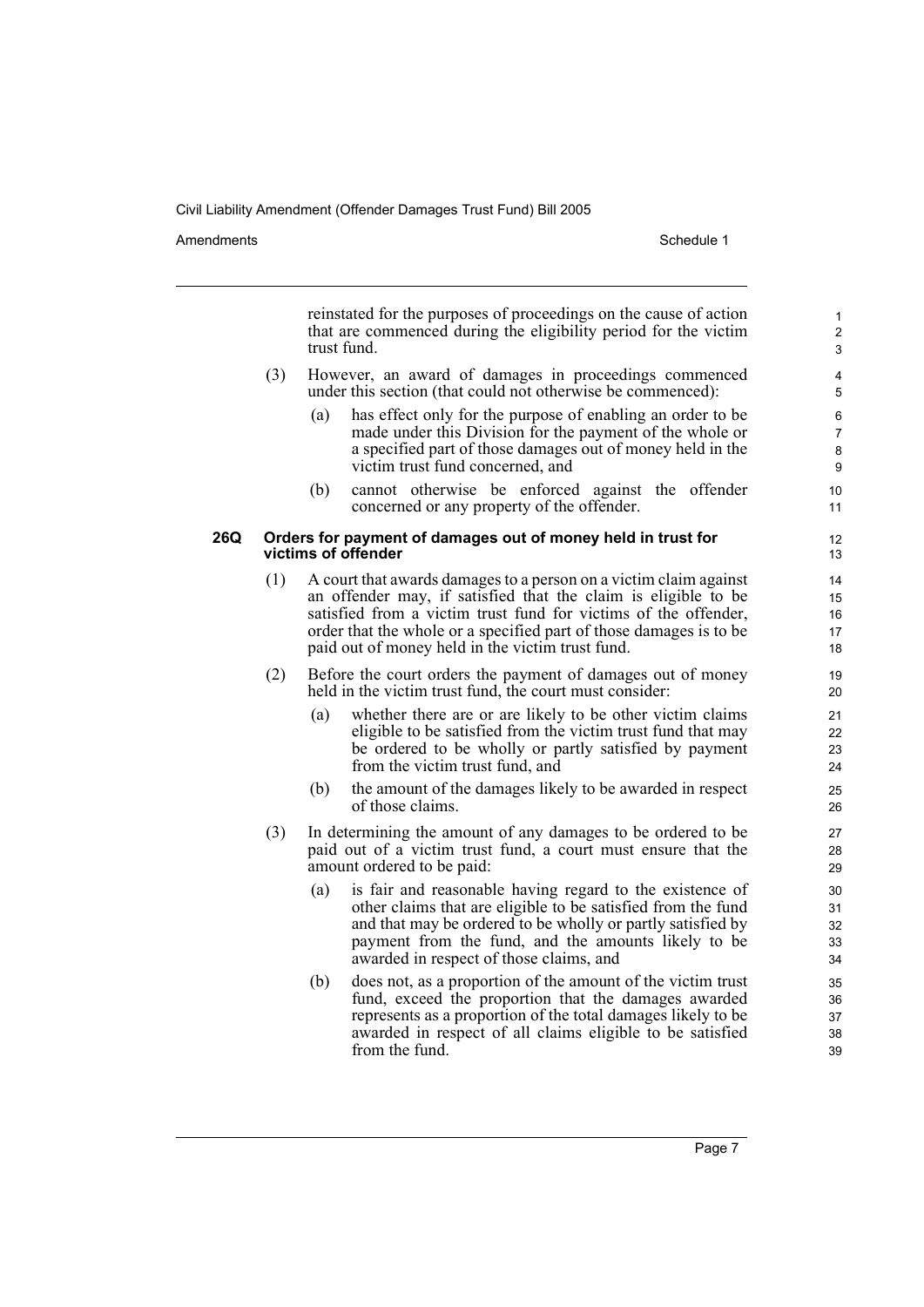Amendments **Amendments** Schedule 1

reinstated for the purposes of proceedings on the cause of action that are commenced during the eligibility period for the victim trust fund.

- (3) However, an award of damages in proceedings commenced under this section (that could not otherwise be commenced):
	- (a) has effect only for the purpose of enabling an order to be made under this Division for the payment of the whole or a specified part of those damages out of money held in the victim trust fund concerned, and
	- (b) cannot otherwise be enforced against the offender concerned or any property of the offender.

### **26Q Orders for payment of damages out of money held in trust for victims of offender**

- (1) A court that awards damages to a person on a victim claim against an offender may, if satisfied that the claim is eligible to be satisfied from a victim trust fund for victims of the offender, order that the whole or a specified part of those damages is to be paid out of money held in the victim trust fund.
- (2) Before the court orders the payment of damages out of money held in the victim trust fund, the court must consider:
	- (a) whether there are or are likely to be other victim claims eligible to be satisfied from the victim trust fund that may be ordered to be wholly or partly satisfied by payment from the victim trust fund, and
	- (b) the amount of the damages likely to be awarded in respect of those claims.
- (3) In determining the amount of any damages to be ordered to be paid out of a victim trust fund, a court must ensure that the amount ordered to be paid:
	- (a) is fair and reasonable having regard to the existence of other claims that are eligible to be satisfied from the fund and that may be ordered to be wholly or partly satisfied by payment from the fund, and the amounts likely to be awarded in respect of those claims, and
	- (b) does not, as a proportion of the amount of the victim trust fund, exceed the proportion that the damages awarded represents as a proportion of the total damages likely to be awarded in respect of all claims eligible to be satisfied from the fund.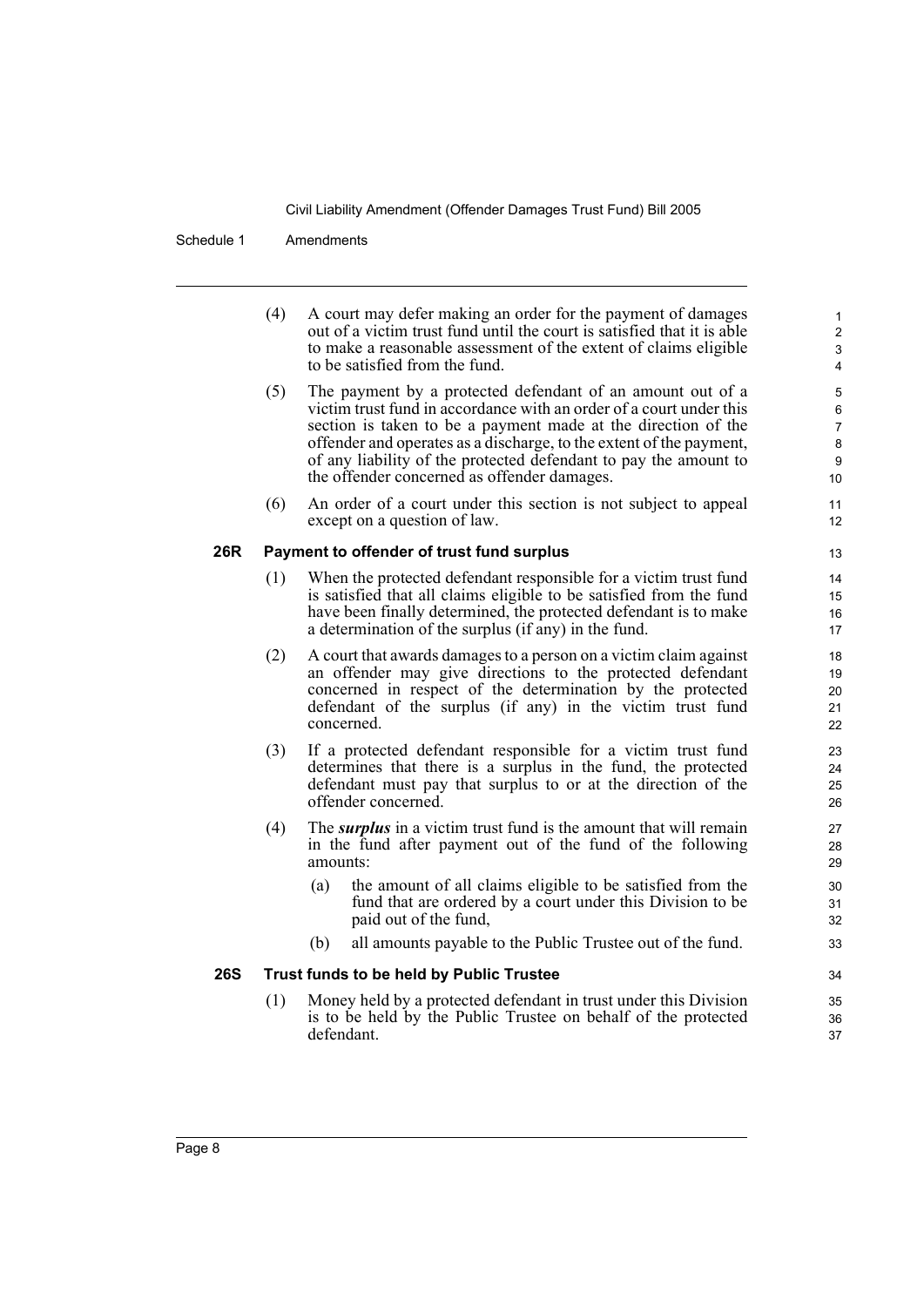Schedule 1 Amendments

(4) A court may defer making an order for the payment of damages out of a victim trust fund until the court is satisfied that it is able to make a reasonable assessment of the extent of claims eligible to be satisfied from the fund.

- (5) The payment by a protected defendant of an amount out of a victim trust fund in accordance with an order of a court under this section is taken to be a payment made at the direction of the offender and operates as a discharge, to the extent of the payment, of any liability of the protected defendant to pay the amount to the offender concerned as offender damages.
- (6) An order of a court under this section is not subject to appeal except on a question of law.

## **26R Payment to offender of trust fund surplus**

- (1) When the protected defendant responsible for a victim trust fund is satisfied that all claims eligible to be satisfied from the fund have been finally determined, the protected defendant is to make a determination of the surplus (if any) in the fund.
- (2) A court that awards damages to a person on a victim claim against an offender may give directions to the protected defendant concerned in respect of the determination by the protected defendant of the surplus (if any) in the victim trust fund concerned.
- (3) If a protected defendant responsible for a victim trust fund determines that there is a surplus in the fund, the protected defendant must pay that surplus to or at the direction of the offender concerned.
- (4) The *surplus* in a victim trust fund is the amount that will remain in the fund after payment out of the fund of the following amounts:
	- (a) the amount of all claims eligible to be satisfied from the fund that are ordered by a court under this Division to be paid out of the fund,
	- (b) all amounts payable to the Public Trustee out of the fund.

## **26S Trust funds to be held by Public Trustee**

(1) Money held by a protected defendant in trust under this Division is to be held by the Public Trustee on behalf of the protected defendant.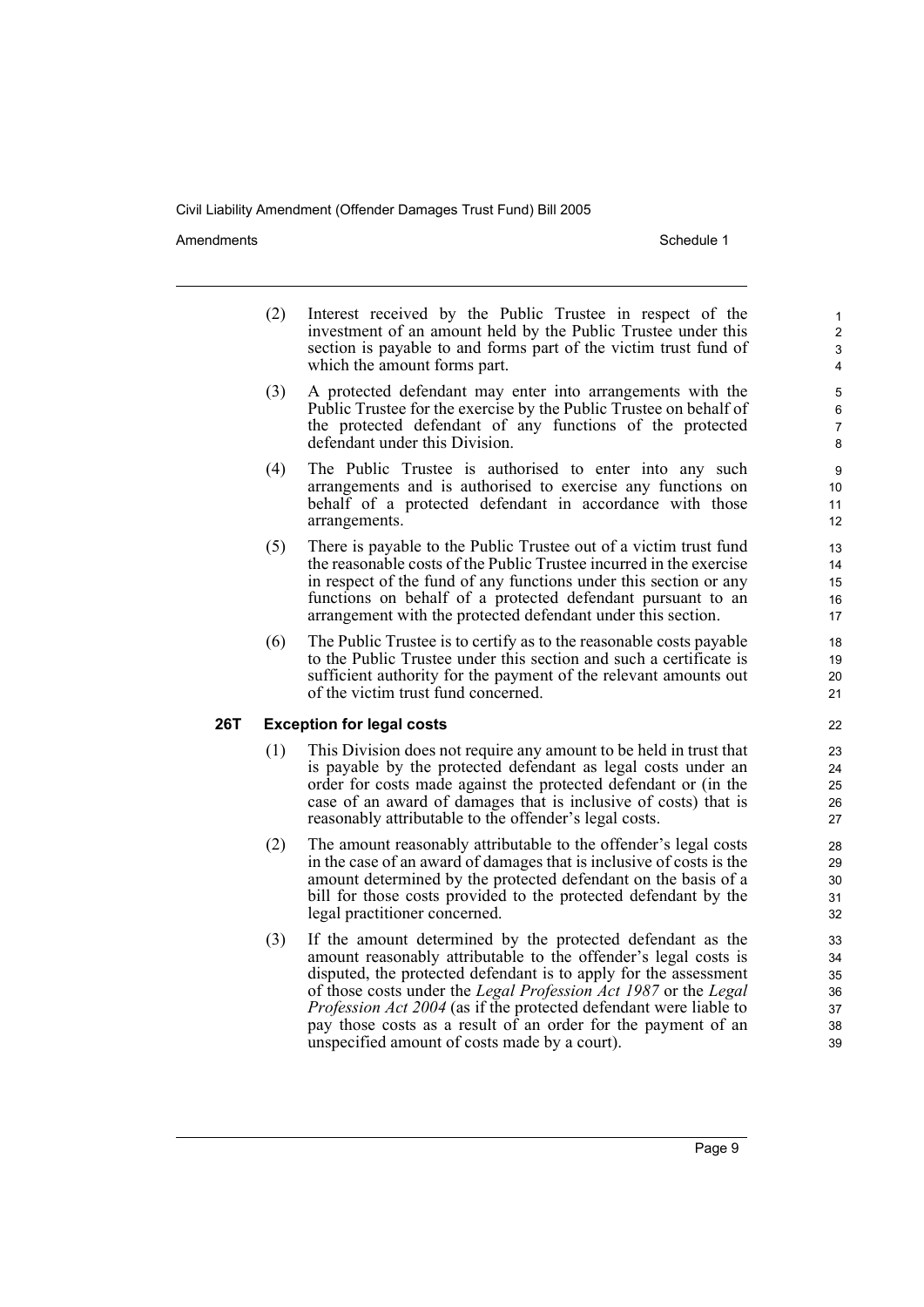Amendments **Amendments** Schedule 1

- (2) Interest received by the Public Trustee in respect of the investment of an amount held by the Public Trustee under this section is payable to and forms part of the victim trust fund of which the amount forms part.
- (3) A protected defendant may enter into arrangements with the Public Trustee for the exercise by the Public Trustee on behalf of the protected defendant of any functions of the protected defendant under this Division.
- (4) The Public Trustee is authorised to enter into any such arrangements and is authorised to exercise any functions on behalf of a protected defendant in accordance with those arrangements.
- (5) There is payable to the Public Trustee out of a victim trust fund the reasonable costs of the Public Trustee incurred in the exercise in respect of the fund of any functions under this section or any functions on behalf of a protected defendant pursuant to an arrangement with the protected defendant under this section.
- (6) The Public Trustee is to certify as to the reasonable costs payable to the Public Trustee under this section and such a certificate is sufficient authority for the payment of the relevant amounts out of the victim trust fund concerned.

## **26T Exception for legal costs**

- (1) This Division does not require any amount to be held in trust that is payable by the protected defendant as legal costs under an order for costs made against the protected defendant or (in the case of an award of damages that is inclusive of costs) that is reasonably attributable to the offender's legal costs.
- (2) The amount reasonably attributable to the offender's legal costs in the case of an award of damages that is inclusive of costs is the amount determined by the protected defendant on the basis of a bill for those costs provided to the protected defendant by the legal practitioner concerned.
- (3) If the amount determined by the protected defendant as the amount reasonably attributable to the offender's legal costs is disputed, the protected defendant is to apply for the assessment of those costs under the *Legal Profession Act 1987* or the *Legal Profession Act 2004* (as if the protected defendant were liable to pay those costs as a result of an order for the payment of an unspecified amount of costs made by a court).

Page 9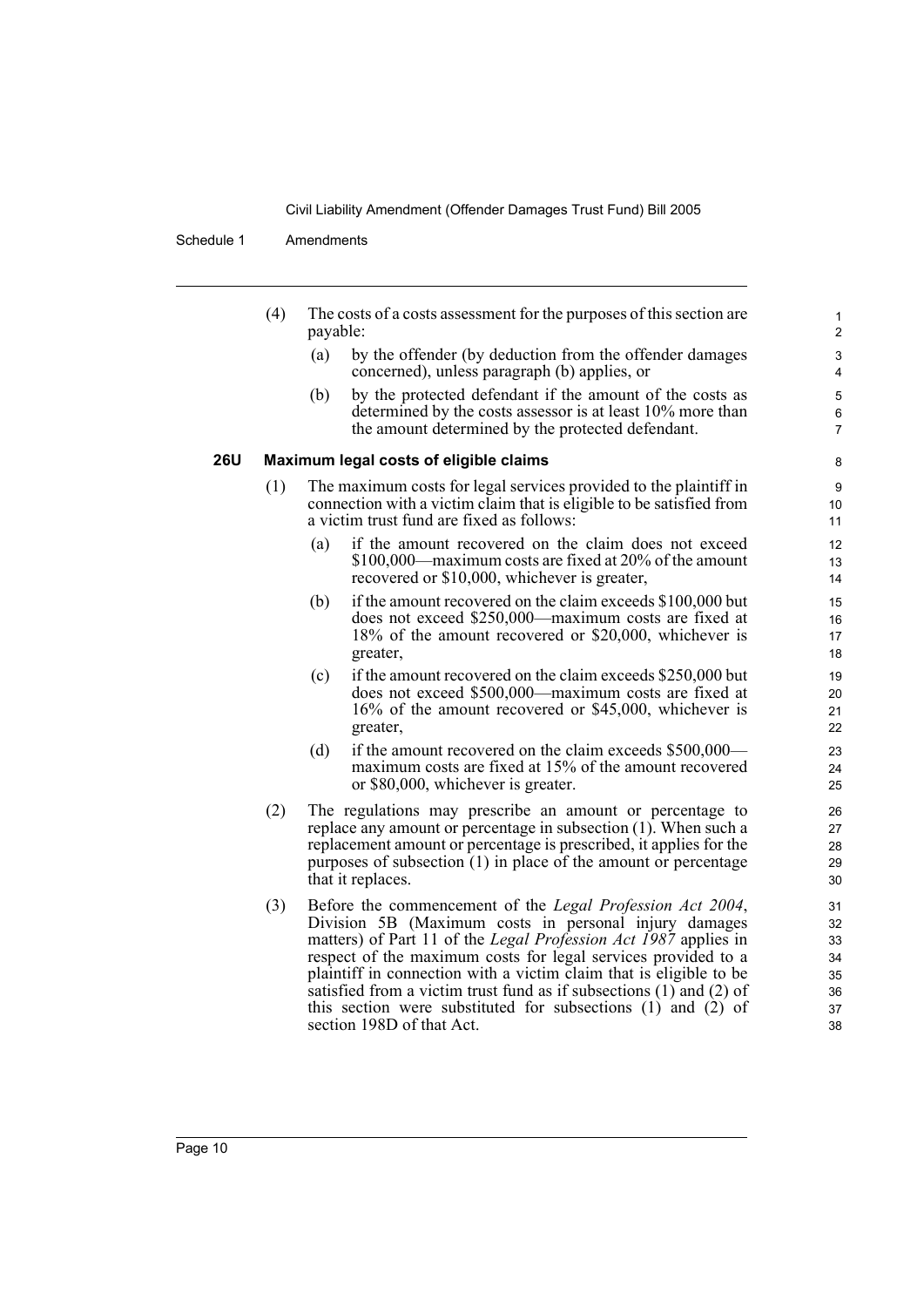### Schedule 1 Amendments

|     | (4)                                    | The costs of a costs assessment for the purposes of this section are<br>payable:                                                                                                       |  |  |  |  |
|-----|----------------------------------------|----------------------------------------------------------------------------------------------------------------------------------------------------------------------------------------|--|--|--|--|
|     |                                        | by the offender (by deduction from the offender damages<br>(a)<br>concerned), unless paragraph (b) applies, or                                                                         |  |  |  |  |
|     |                                        | by the protected defendant if the amount of the costs as<br>(b)<br>determined by the costs assessor is at least 10% more than<br>the amount determined by the protected defendant.     |  |  |  |  |
| 26U | Maximum legal costs of eligible claims |                                                                                                                                                                                        |  |  |  |  |
|     | (1)                                    | The maximum costs for legal services provided to the plaintiff in<br>connection with a victim claim that is eligible to be satisfied from<br>a victim trust fund are fixed as follows: |  |  |  |  |
|     |                                        | if the amount recovered on the claim does not exceed<br>(a)<br>\$100,000—maximum costs are fixed at 20% of the amount<br>recovered or \$10,000, whichever is greater,                  |  |  |  |  |
|     |                                        | if the amount recovered on the claim exceeds \$100,000 but<br>(b)<br>does not exceed \$250,000—maximum costs are fixed at                                                              |  |  |  |  |

- does not exceed \$250,000—maximum costs are fixed at 18% of the amount recovered or \$20,000, whichever is greater,
- (c) if the amount recovered on the claim exceeds \$250,000 but does not exceed \$500,000—maximum costs are fixed at 16% of the amount recovered or \$45,000, whichever is greater,
- (d) if the amount recovered on the claim exceeds \$500,000 maximum costs are fixed at 15% of the amount recovered or \$80,000, whichever is greater.
- (2) The regulations may prescribe an amount or percentage to replace any amount or percentage in subsection (1). When such a replacement amount or percentage is prescribed, it applies for the purposes of subsection  $(1)$  in place of the amount or percentage that it replaces.
- (3) Before the commencement of the *Legal Profession Act 2004*, Division 5B (Maximum costs in personal injury damages matters) of Part 11 of the *Legal Profession Act 1987* applies in respect of the maximum costs for legal services provided to a plaintiff in connection with a victim claim that is eligible to be satisfied from a victim trust fund as if subsections  $(1)$  and  $(2)$  of this section were substituted for subsections (1) and (2) of section 198D of that Act.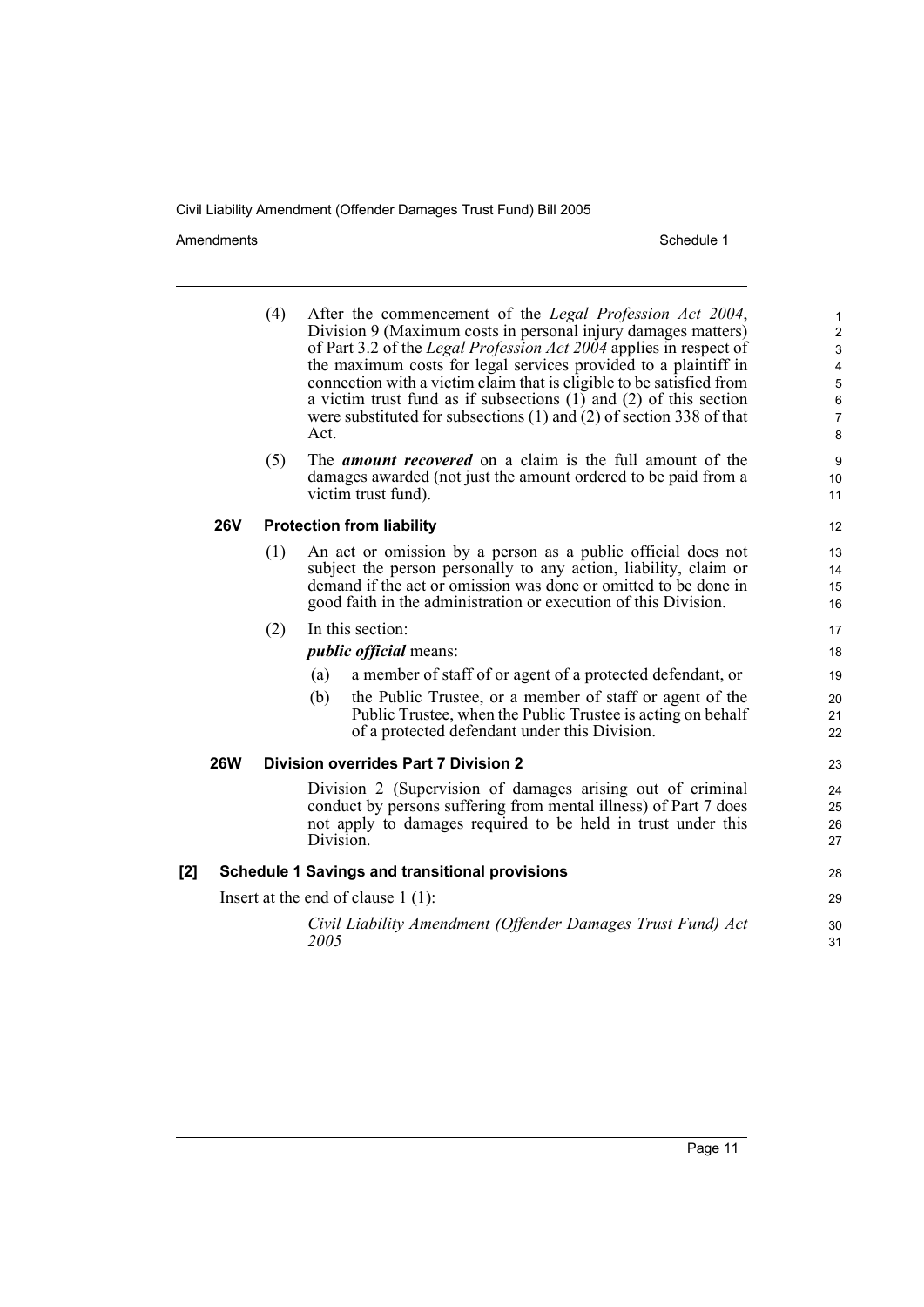Amendments Schedule 1

|     |                                                       | (4)                              | Act.                                                                                                                                                                                                                                                                   | After the commencement of the Legal Profession Act 2004,<br>Division 9 (Maximum costs in personal injury damages matters)<br>of Part 3.2 of the Legal Profession Act 2004 applies in respect of<br>the maximum costs for legal services provided to a plaintiff in<br>connection with a victim claim that is eligible to be satisfied from<br>a victim trust fund as if subsections $(1)$ and $(2)$ of this section<br>were substituted for subsections $(1)$ and $(2)$ of section 338 of that | $\mathbf{1}$<br>$\overline{a}$<br>3<br>$\overline{\mathbf{4}}$<br>$\overline{5}$<br>6<br>$\overline{7}$<br>8 |
|-----|-------------------------------------------------------|----------------------------------|------------------------------------------------------------------------------------------------------------------------------------------------------------------------------------------------------------------------------------------------------------------------|------------------------------------------------------------------------------------------------------------------------------------------------------------------------------------------------------------------------------------------------------------------------------------------------------------------------------------------------------------------------------------------------------------------------------------------------------------------------------------------------|--------------------------------------------------------------------------------------------------------------|
|     |                                                       | (5)                              |                                                                                                                                                                                                                                                                        | The <i>amount recovered</i> on a claim is the full amount of the<br>damages awarded (not just the amount ordered to be paid from a<br>victim trust fund).                                                                                                                                                                                                                                                                                                                                      | 9<br>10 <sup>1</sup><br>11                                                                                   |
|     | <b>26V</b>                                            | <b>Protection from liability</b> |                                                                                                                                                                                                                                                                        |                                                                                                                                                                                                                                                                                                                                                                                                                                                                                                |                                                                                                              |
|     |                                                       | (1)                              | An act or omission by a person as a public official does not<br>subject the person personally to any action, liability, claim or<br>demand if the act or omission was done or omitted to be done in<br>good faith in the administration or execution of this Division. |                                                                                                                                                                                                                                                                                                                                                                                                                                                                                                |                                                                                                              |
|     |                                                       | (2)                              | In this section:                                                                                                                                                                                                                                                       |                                                                                                                                                                                                                                                                                                                                                                                                                                                                                                | 17                                                                                                           |
|     |                                                       |                                  | <i>public official</i> means:                                                                                                                                                                                                                                          |                                                                                                                                                                                                                                                                                                                                                                                                                                                                                                |                                                                                                              |
|     |                                                       |                                  | (a)                                                                                                                                                                                                                                                                    | a member of staff of or agent of a protected defendant, or                                                                                                                                                                                                                                                                                                                                                                                                                                     | 19                                                                                                           |
|     |                                                       |                                  | (b)                                                                                                                                                                                                                                                                    | the Public Trustee, or a member of staff or agent of the<br>Public Trustee, when the Public Trustee is acting on behalf<br>of a protected defendant under this Division.                                                                                                                                                                                                                                                                                                                       | 20<br>21<br>22                                                                                               |
|     | <b>26W</b>                                            |                                  |                                                                                                                                                                                                                                                                        | <b>Division overrides Part 7 Division 2</b>                                                                                                                                                                                                                                                                                                                                                                                                                                                    | 23                                                                                                           |
|     |                                                       |                                  | Division.                                                                                                                                                                                                                                                              | Division 2 (Supervision of damages arising out of criminal<br>conduct by persons suffering from mental illness) of Part 7 does<br>not apply to damages required to be held in trust under this                                                                                                                                                                                                                                                                                                 | 24<br>25<br>26<br>27                                                                                         |
| [2] | <b>Schedule 1 Savings and transitional provisions</b> |                                  |                                                                                                                                                                                                                                                                        | 28                                                                                                                                                                                                                                                                                                                                                                                                                                                                                             |                                                                                                              |
|     |                                                       |                                  |                                                                                                                                                                                                                                                                        | Insert at the end of clause $1(1)$ :                                                                                                                                                                                                                                                                                                                                                                                                                                                           | 29                                                                                                           |
|     |                                                       |                                  | 2005                                                                                                                                                                                                                                                                   | Civil Liability Amendment (Offender Damages Trust Fund) Act                                                                                                                                                                                                                                                                                                                                                                                                                                    | 30<br>31                                                                                                     |
|     |                                                       |                                  |                                                                                                                                                                                                                                                                        |                                                                                                                                                                                                                                                                                                                                                                                                                                                                                                |                                                                                                              |